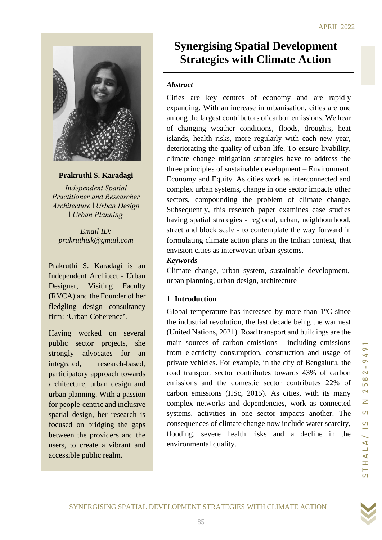#### APRIL 2022



**Prakruthi S. Karadagi**

*Independent Spatial Practitioner and Researcher Architecture* I *Urban Design*  I *Urban Planning*

*Email ID: prakruthisk@gmail.com*

 Independent Architect - Urban Prakruthi S. Karadagi is an Designer, Visiting Faculty (RVCA) and the Founder of her fledgling design consultancy firm: 'Urban Coherence'.

Having worked on several public sector projects, she strongly advocates for an integrated, research-based, participatory approach towards architecture, urban design and urban planning. With a passion for people-centric and inclusive spatial design, her research is focused on bridging the gaps between the providers and the users, to create a vibrant and accessible public realm.

# <u>E</u> **Synergising Spatial Development Strategies with Climate Action**

#### *Abstract*

Cities are key centres of economy and are rapidly expanding. With an increase in urbanisation, cities are one among the largest contributors of carbon emissions. We hear of changing weather conditions, floods, droughts, heat islands, health risks, more regularly with each new year, deteriorating the quality of urban life. To ensure livability, climate change mitigation strategies have to address the three principles of sustainable development – Environment, Economy and Equity. As cities work as interconnected and complex urban systems, change in one sector impacts other sectors, compounding the problem of climate change. Subsequently, this research paper examines case studies having spatial strategies - regional, urban, neighbourhood, street and block scale - to contemplate the way forward in formulating climate action plans in the Indian context, that envision cities as interwovan urban systems.

#### *Keywords*

Climate change, urban system, sustainable development, urban planning, urban design, architecture

### **1 Introduction**

Global temperature has increased by more than  $1^{\circ}$ C since the industrial revolution, the last decade being the warmest (United Nations, 2021). Road transport and buildings are the main sources of carbon emissions - including emissions from electricity consumption, construction and usage of private vehicles. For example, in the city of Bengaluru, the road transport sector contributes towards 43% of carbon emissions and the domestic sector contributes 22% of carbon emissions (IISc, 2015). As cities, with its many complex networks and dependencies, work as connected systems, activities in one sector impacts another. The consequences of climate change now include water scarcity, flooding, severe health risks and a decline in the environmental quality.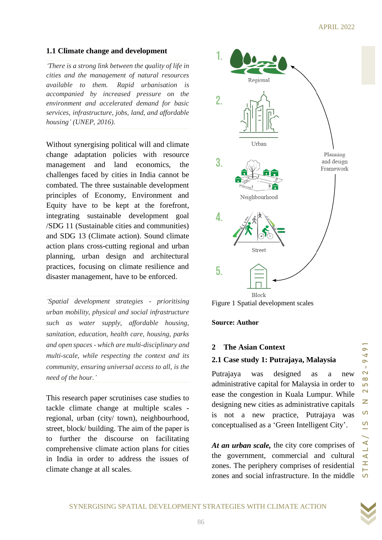### **1.1 Climate change and development**

*'There is a strong link between the quality of life in cities and the management of natural resources available to them. Rapid urbanisation is accompanied by increased pressure on the environment and accelerated demand for basic services, infrastructure, jobs, land, and affordable housing' (UNEP, 2016).*

Without synergising political will and climate change adaptation policies with resource management and land economics, the challenges faced by cities in India cannot be combated. The three sustainable development principles of Economy, Environment and Equity have to be kept at the forefront, integrating sustainable development goal /SDG 11 (Sustainable cities and communities) and SDG 13 (Climate action). Sound climate action plans cross-cutting regional and urban planning, urban design and architectural practices, focusing on climate resilience and disaster management, have to be enforced.

*'Spatial development strategies - prioritising urban mobility, physical and social infrastructure such as water supply, affordable housing, sanitation, education, health care, housing, parks and open spaces - which are multi-disciplinary and multi-scale, while respecting the context and its community, ensuring universal access to all, is the need of the hour.'*

This research paper scrutinises case studies to tackle climate change at multiple scales regional, urban (city/ town), neighbourhood, street, block/ building. The aim of the paper is to further the discourse on facilitating comprehensive climate action plans for cities in India in order to address the issues of climate change at all scales.



Figure 1 Spatial development scales

#### **Source: Author**

#### **2 The Asian Context**

### **2.1 Case study 1: Putrajaya, Malaysia**

Putrajaya was designed as a new administrative capital for Malaysia in order to ease the congestion in Kuala Lumpur. While designing new cities as administrative capitals is not a new practice, Putrajaya was conceptualised as a 'Green Intelligent City'.

*At an urban scale,* the city core comprises of the government, commercial and cultural zones. The periphery comprises of residential zones and social infrastructure. In the middle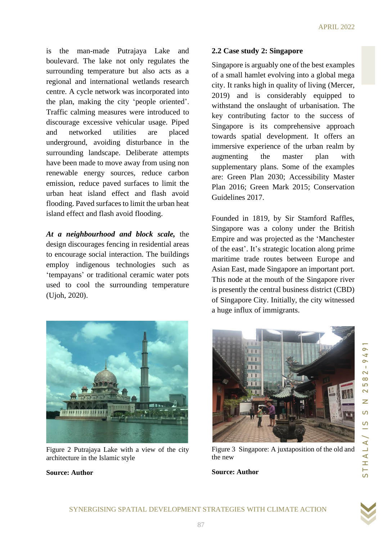is the man-made Putrajaya Lake and boulevard. The lake not only regulates the surrounding temperature but also acts as a regional and international wetlands research centre. A cycle network was incorporated into the plan, making the city 'people oriented'. Traffic calming measures were introduced to discourage excessive vehicular usage. Piped and networked utilities are placed underground, avoiding disturbance in the surrounding landscape. Deliberate attempts have been made to move away from using non renewable energy sources, reduce carbon emission, reduce paved surfaces to limit the urban heat island effect and flash avoid flooding. Paved surfaces to limit the urban heat island effect and flash avoid flooding.

*At a neighbourhood and block scale,* the design discourages fencing in residential areas to encourage social interaction. The buildings employ indigenous technologies such as 'tempayans' or traditional ceramic water pots used to cool the surrounding temperature (Ujoh, 2020).



Figure 2 Putrajaya Lake with a view of the city architecture in the Islamic style

#### **Source: Author**

### **2.2 Case study 2: Singapore**

Singapore is arguably one of the best examples of a small hamlet evolving into a global mega city. It ranks high in quality of living (Mercer, 2019) and is considerably equipped to withstand the onslaught of urbanisation. The key contributing factor to the success of Singapore is its comprehensive approach towards spatial development. It offers an immersive experience of the urban realm by augmenting the master plan with supplementary plans. Some of the examples are: Green Plan 2030; Accessibility Master Plan 2016; Green Mark 2015; Conservation Guidelines 2017.

Founded in 1819, by Sir Stamford Raffles, Singapore was a colony under the British Empire and was projected as the 'Manchester of the east'. It's strategic location along prime maritime trade routes between Europe and Asian East, made Singapore an important port. This node at the mouth of the Singapore river is presently the central business district (CBD) of Singapore City. Initially, the city witnessed a huge influx of immigrants.



Figure 3 Singapore: A juxtaposition of the old and

#### **Source: Author**

the new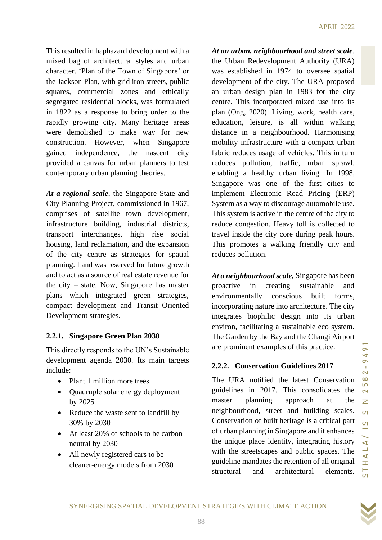This resulted in haphazard development with a mixed bag of architectural styles and urban character. 'Plan of the Town of Singapore' or the Jackson Plan, with grid iron streets, public squares, commercial zones and ethically segregated residential blocks, was formulated in 1822 as a response to bring order to the rapidly growing city. Many heritage areas were demolished to make way for new construction. However, when Singapore gained independence, the nascent city provided a canvas for urban planners to test contemporary urban planning theories.

*At a regional scale*, the Singapore State and City Planning Project, commissioned in 1967, comprises of satellite town development, infrastructure building, industrial districts, transport interchanges, high rise social housing, land reclamation, and the expansion of the city centre as strategies for spatial planning. Land was reserved for future growth and to act as a source of real estate revenue for the city – state. Now, Singapore has master plans which integrated green strategies, compact development and Transit Oriented Development strategies.

# **2.2.1. Singapore Green Plan 2030**

This directly responds to the UN's Sustainable development agenda 2030. Its main targets include:

- Plant 1 million more trees
- Ouadruple solar energy deployment by 2025
- Reduce the waste sent to landfill by 30% by 2030
- At least 20% of schools to be carbon neutral by 2030
- All newly registered cars to be cleaner-energy models from 2030

*At an urban, neighbourhood and street scale*, the Urban Redevelopment Authority (URA) was established in 1974 to oversee spatial development of the city. The URA proposed an urban design plan in 1983 for the city centre. This incorporated mixed use into its plan (Ong, 2020). Living, work, health care, education, leisure, is all within walking distance in a neighbourhood. Harmonising mobility infrastructure with a compact urban fabric reduces usage of vehicles. This in turn reduces pollution, traffic, urban sprawl, enabling a healthy urban living. In 1998, Singapore was one of the first cities to implement Electronic Road Pricing (ERP) System as a way to discourage automobile use. This system is active in the centre of the city to reduce congestion. Heavy toll is collected to travel inside the city core during peak hours. This promotes a walking friendly city and reduces pollution.

*At a neighbourhood scale,* Singapore has been proactive in creating sustainable and environmentally conscious built forms, incorporating nature into architecture. The city integrates biophilic design into its urban environ, facilitating a sustainable eco system. The Garden by the Bay and the Changi Airport are prominent examples of this practice.

### **2.2.2. Conservation Guidelines 2017**

The URA notified the latest Conservation guidelines in 2017. This consolidates the master planning approach at the neighbourhood, street and building scales. Conservation of built heritage is a critical part of urban planning in Singapore and it enhances the unique place identity, integrating history with the streetscapes and public spaces. The guideline mandates the retention of all original structural and architectural elements.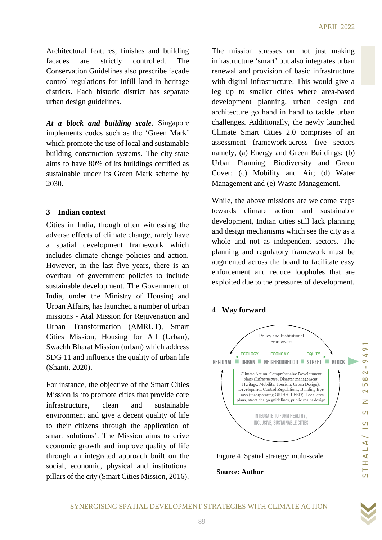Architectural features, finishes and building facades are strictly controlled. The Conservation Guidelines also prescribe façade control regulations for infill land in heritage districts. Each historic district has separate urban design guidelines.

*At a block and building scale*, Singapore implements codes such as the 'Green Mark' which promote the use of local and sustainable building construction systems. The city-state aims to have 80% of its buildings certified as sustainable under its Green Mark scheme by 2030.

### **3 Indian context**

Cities in India, though often witnessing the adverse effects of climate change, rarely have a spatial development framework which includes climate change policies and action. However, in the last five years, there is an overhaul of government policies to include sustainable development. The Government of India, under the Ministry of Housing and Urban Affairs, has launched a number of urban missions - Atal Mission for Rejuvenation and Urban Transformation (AMRUT), Smart Cities Mission, Housing for All (Urban), Swachh Bharat Mission (urban) which address SDG 11 and influence the quality of urban life (Shanti, 2020).

For instance, the objective of the Smart Cities Mission is 'to promote cities that provide core infrastructure, clean and sustainable environment and give a decent quality of life to their citizens through the application of smart solutions'. The Mission aims to drive economic growth and improve quality of life through an integrated approach built on the social, economic, physical and institutional pillars of the city (Smart Cities Mission, 2016). The mission stresses on not just making infrastructure 'smart' but also integrates urban renewal and provision of basic infrastructure with digital infrastructure. This would give a leg up to smaller cities where area-based development planning, urban design and architecture go hand in hand to tackle urban challenges. Additionally, the newly launched Climate Smart Cities 2.0 comprises of an assessment framework across five sectors namely, (a) Energy and Green Buildings; (b) Urban Planning, Biodiversity and Green Cover; (c) Mobility and Air; (d) Water Management and (e) Waste Management.

While, the above missions are welcome steps towards climate action and sustainable development, Indian cities still lack planning and design mechanisms which see the city as a whole and not as independent sectors. The planning and regulatory framework must be augmented across the board to facilitate easy enforcement and reduce loopholes that are exploited due to the pressures of development.

# **4 Way forward**